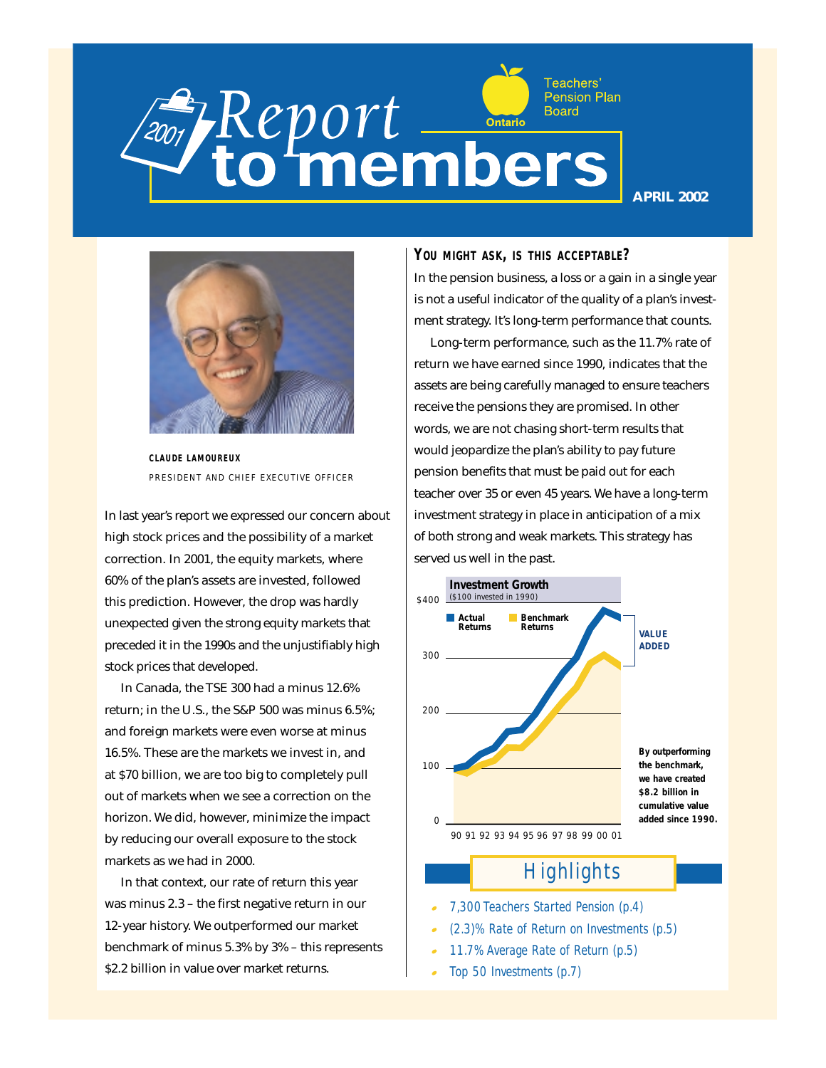## Teachers' **Pension Plan** Report **CONTENS**

**APRIL 2002**



**CLAUDE LAMOUREUX** PRESIDENT AND CHIEF EXECUTIVE OFFICER

In last year's report we expressed our concern about high stock prices and the possibility of a market correction. In 2001, the equity markets, where 60% of the plan's assets are invested, followed this prediction. However, the drop was hardly unexpected given the strong equity markets that preceded it in the 1990s and the unjustifiably high stock prices that developed.

In Canada, the TSE 300 had a minus 12.6% return; in the U.S., the S&P 500 was minus 6.5%; and foreign markets were even worse at minus 16.5%. These are the markets we invest in, and at \$70 billion, we are too big to completely pull out of markets when we see a correction on the horizon. We did, however, minimize the impact by reducing our overall exposure to the stock markets as we had in 2000.

In that context, our rate of return this year was minus 2.3 – the first negative return in our 12-year history. We outperformed our market benchmark of minus 5.3% by 3% – this represents \$2.2 billion in value over market returns.

**YOU MIGHT ASK, IS THIS ACCEPTABLE?** 

In the pension business, a loss or a gain in a single year is not a useful indicator of the quality of a plan's investment strategy. It's long-term performance that counts.

Long-term performance, such as the 11.7% rate of return we have earned since 1990, indicates that the assets are being carefully managed to ensure teachers receive the pensions they are promised. In other words, we are not chasing short-term results that would jeopardize the plan's ability to pay future pension benefits that must be paid out for each teacher over 35 or even 45 years. We have a long-term investment strategy in place in anticipation of a mix of both strong and weak markets. This strategy has served us well in the past.



## *Highlights*

- *7,300 Teachers Started Pension (p.4)*
- *(2.3)% Rate of Return on Investments (p.5)*
- *11.7% Average Rate of Return (p.5)*
- *Top 50 Investments (p.7)*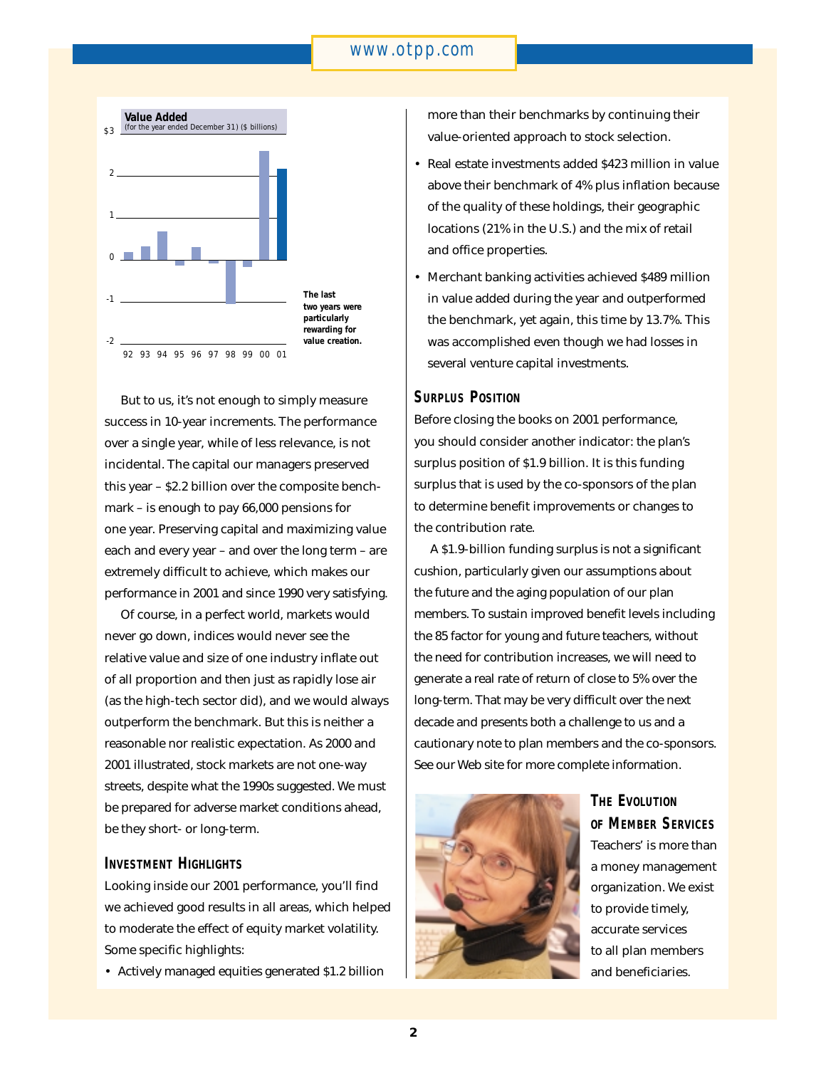## *www.otpp.com*



But to us, it's not enough to simply measure success in 10-year increments. The performance over a single year, while of less relevance, is not incidental. The capital our managers preserved this year – \$2.2 billion over the composite benchmark – is enough to pay 66,000 pensions for one year. Preserving capital and maximizing value each and every year – and over the long term – are extremely difficult to achieve, which makes our performance in 2001 and since 1990 very satisfying.

Of course, in a perfect world, markets would never go down, indices would never see the relative value and size of one industry inflate out of all proportion and then just as rapidly lose air (as the high-tech sector did), and we would always outperform the benchmark. But this is neither a reasonable nor realistic expectation. As 2000 and 2001 illustrated, stock markets are not one-way streets, despite what the 1990s suggested. We must be prepared for adverse market conditions ahead, be they short- or long-term.

## **INVESTMENT HIGHLIGHTS**

Looking inside our 2001 performance, you'll find we achieved good results in all areas, which helped to moderate the effect of equity market volatility. Some specific highlights:

• Actively managed equities generated \$1.2 billion

more than their benchmarks by continuing their value-oriented approach to stock selection.

- Real estate investments added \$423 million in value above their benchmark of 4% plus inflation because of the quality of these holdings, their geographic locations (21% in the U.S.) and the mix of retail and office properties.
- Merchant banking activities achieved \$489 million in value added during the year and outperformed the benchmark, yet again, this time by 13.7%. This was accomplished even though we had losses in several venture capital investments.

## **SURPLUS POSITION**

Before closing the books on 2001 performance, you should consider another indicator: the plan's surplus position of \$1.9 billion. It is this funding surplus that is used by the co-sponsors of the plan to determine benefit improvements or changes to the contribution rate.

A \$1.9-billion funding surplus is not a significant cushion, particularly given our assumptions about the future and the aging population of our plan members. To sustain improved benefit levels including the 85 factor for young and future teachers, without the need for contribution increases, we will need to generate a real rate of return of close to 5% over the long-term. That may be very difficult over the next decade and presents both a challenge to us and a cautionary note to plan members and the co-sponsors. See our Web site for more complete information.



**THE EVOLUTION OF MEMBER SERVICES** Teachers' is more than a money management organization. We exist to provide timely, accurate services to all plan members and beneficiaries.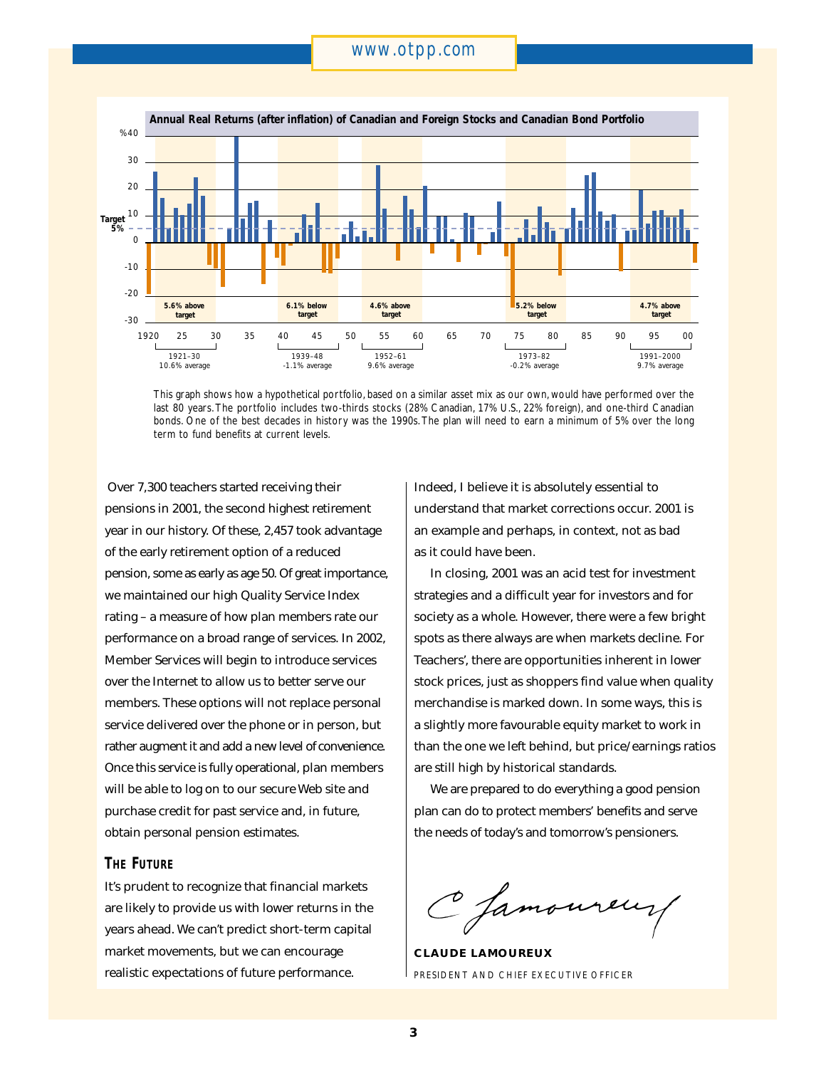## *www.otpp.com*



This graph shows how a hypothetical portfolio, based on a similar asset mix as our own, would have performed over the last 80 years. The portfolio includes two-thirds stocks (28% Canadian, 17% U.S., 22% foreign), and one-third Canadian bonds. One of the best decades in history was the 1990s. The plan will need to earn a minimum of 5% over the long term to fund benefits at current levels.

Over 7,300 teachers started receiving their pensions in 2001, the second highest retirement year in our history. Of these, 2,457 took advantage of the early retirement option of a reduced pension, some as early as age 50. Of great importance, we maintained our high Quality Service Index rating – a measure of how plan members rate our performance on a broad range of services. In 2002, Member Services will begin to introduce services over the Internet to allow us to better serve our members. These options will not replace personal service delivered over the phone or in person, but rather augment it and add a new level of convenience. Once this service is fully operational, plan members will be able to log on to our secure Web site and purchase credit for past service and, in future, obtain personal pension estimates.

## **THE FUTURE**

It's prudent to recognize that financial markets are likely to provide us with lower returns in the years ahead. We can't predict short-term capital market movements, but we can encourage realistic expectations of future performance.

Indeed, I believe it is absolutely essential to understand that market corrections occur. 2001 is an example and perhaps, in context, not as bad as it could have been.

In closing, 2001 was an acid test for investment strategies and a difficult year for investors and for society as a whole. However, there were a few bright spots as there always are when markets decline. For Teachers', there are opportunities inherent in lower stock prices, just as shoppers find value when quality merchandise is marked down. In some ways, this is a slightly more favourable equity market to work in than the one we left behind, but price/earnings ratios are still high by historical standards.

We are prepared to do everything a good pension plan can do to protect members' benefits and serve the needs of today's and tomorrow's pensioners.

C Jamoureuy

**CLAUDE LAMOUREUX** PRESIDENT AND CHIEF EXECUTIVE OFFICER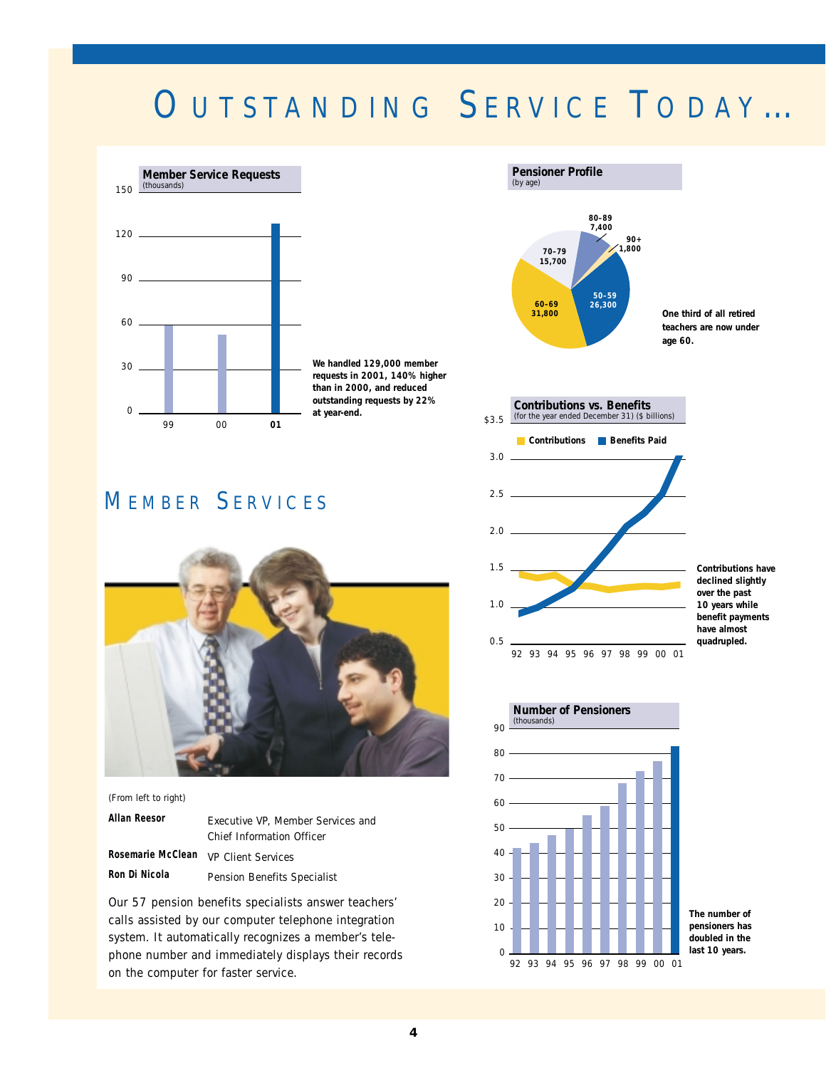## OUTSTANDING SERVICE TODAY ...



**We handled 129,000 member requests in 2001, 140% higher than in 2000, and reduced outstanding requests by 22% at year-end.** 

## M EMBER S ERVICES



(From left to right) **Allan Reesor Rosemarie McClean Ron Di Nicola** Executive VP, Member Services and Chief Information Officer VP Client Services Pension Benefits Specialist

Our 57 pension benefits specialists answer teachers' calls assisted by our computer telephone integration system. It automatically recognizes a member's telephone number and immediately displays their records on the computer for faster service.





**Contributions have declined slightly over the past 10 years while benefit payments have almost quadrupled.**



**The number of pensioners has doubled in the last 10 years.**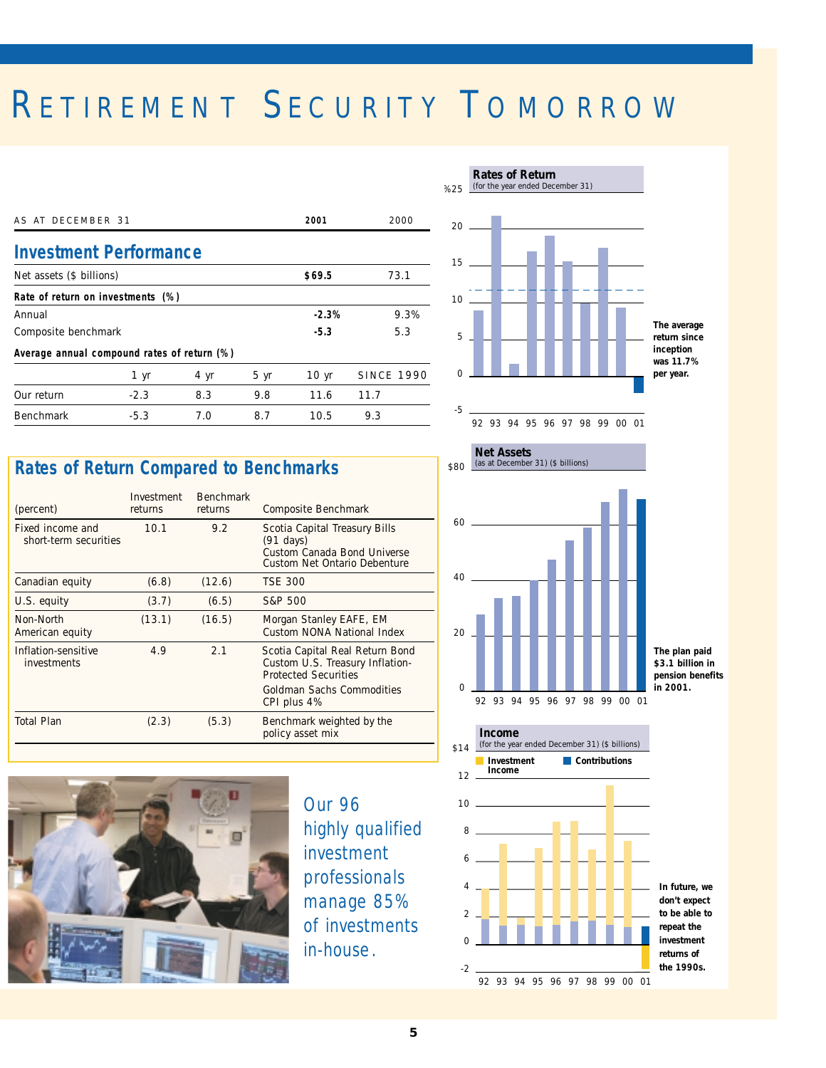# RETIREMENT SECURITY TOMORROW

| AS AT DECEMBER 31                           |        |      |      | 2001             | 2000              |
|---------------------------------------------|--------|------|------|------------------|-------------------|
| <b>Investment Performance</b>               |        |      |      |                  |                   |
| Net assets (\$ billions)                    |        |      |      | \$69.5           | 73.1              |
| Rate of return on investments (%)           |        |      |      |                  |                   |
| Annual                                      |        |      |      | $-2.3%$          | 9.3%              |
| Composite benchmark                         |        |      |      | $-5.3$           | 5.3               |
| Average annual compound rates of return (%) |        |      |      |                  |                   |
|                                             | 1 yr   | 4 yr | 5 yr | 10 <sub>yr</sub> | <b>SINCE 1990</b> |
| Our return                                  | $-2.3$ | 8.3  | 9.8  | 11.6             | 11.7              |
| <b>Benchmark</b>                            | $-5.3$ | 7.O  | 8.7  | 10.5             | 9.3               |



| (percent)                                 | Investment<br>returns | <b>Benchmark</b><br>returns | Composite Benchmark                                                                                                                           |
|-------------------------------------------|-----------------------|-----------------------------|-----------------------------------------------------------------------------------------------------------------------------------------------|
| Fixed income and<br>short-term securities | 10.1                  | 9.2                         | Scotia Capital Treasury Bills<br>$(91 \text{ days})$<br>Custom Canada Bond Universe<br>Custom Net Ontario Debenture                           |
| Canadian equity                           | (6.8)                 | (12.6)                      | <b>TSE 300</b>                                                                                                                                |
| U.S. equity                               | (3.7)                 | (6.5)                       | S&P 500                                                                                                                                       |
| Non-North<br>American equity              | (13.1)                | (16.5)                      | Morgan Stanley EAFE, EM<br>Custom NONA National Index                                                                                         |
| Inflation-sensitive<br><i>investments</i> | 4.9                   | 2.1                         | Scotia Capital Real Return Bond<br>Custom U.S. Treasury Inflation-<br><b>Protected Securities</b><br>Goldman Sachs Commodities<br>CPI plus 4% |
| <b>Total Plan</b>                         | (2.3)                 | (5.3)                       | Benchmark weighted by the<br>policy asset mix                                                                                                 |



*Our 96 highly qualified investment professionals manage 85% of investments in-house.*



92 93 94 95 96 97 98 99 00 01

**Net Assets**



**Rates of Return**



**The plan paid \$3.1 billion in pension benefits in 2001.**



**don't expect to be able to repeat the investment returns of the 1990s.**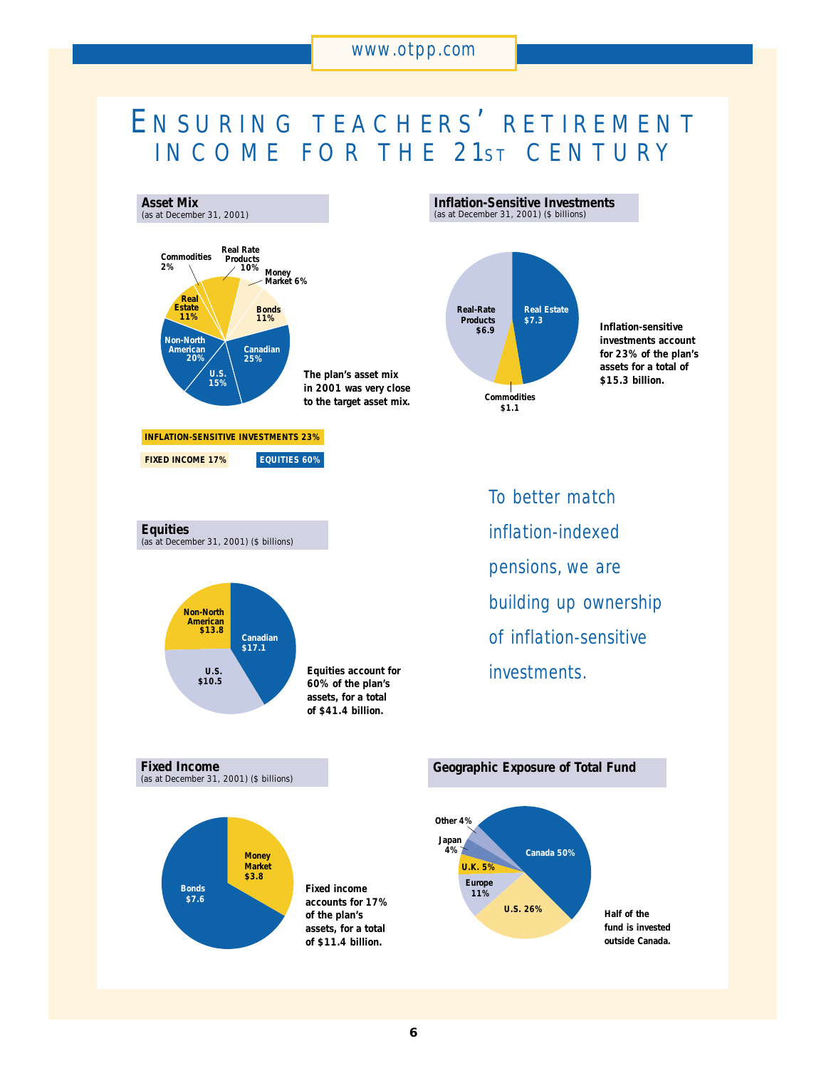## E NSURING TEACHERS ' RETIREMENT INCOME FOR THE 21st CENTURY



**Inflation-Sensitive Investments** (as at December 31, 2001) (\$ billions)



**\$6.9 Inflation-sensitive investments account for 23% of the plan's assets for a total of \$15.3 billion.**

*To better match inflation-indexed pensions, we are building up ownership of inflation-sensitive investments.*

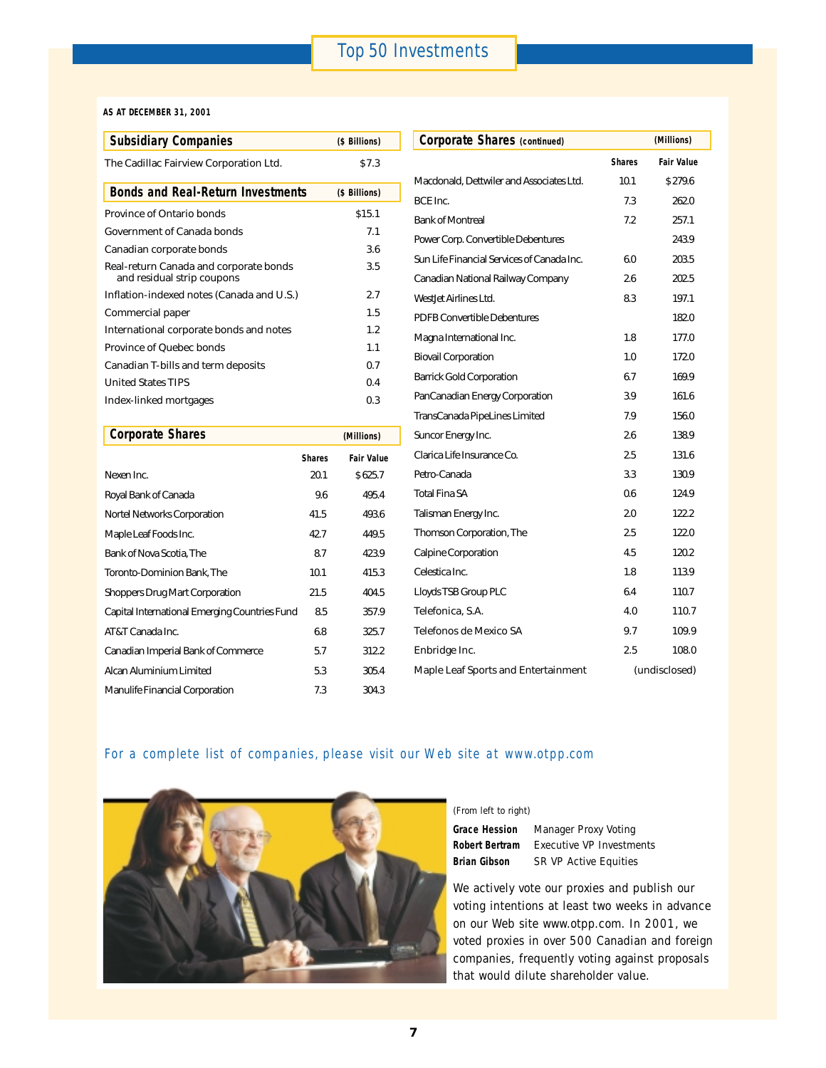## *Top 50 Investments*

## **AS AT DECEMBER 31, 2001**

| <b>Subsidiary Companies</b>                                          | (\$ Billions) | <b>Corporate Shares (continued)</b>   |
|----------------------------------------------------------------------|---------------|---------------------------------------|
| The Cadillac Fairview Corporation Ltd.                               | \$7.3         |                                       |
| <b>Bonds and Real-Return Investments</b>                             | (\$ Billions) | Macdonald, Dettwiler and Associates   |
| Province of Ontario bonds                                            | \$15.1        | BCE Inc.<br><b>Bank of Montreal</b>   |
| <b>Government of Canada bonds</b>                                    | 7.1           | Power Corp. Convertible Debentures    |
| Canadian corporate bonds                                             | 3.6           | Sun Life Financial Services of Canada |
| Real-return Canada and corporate bonds<br>and residual strip coupons | 3.5           | Canadian National Railway Compan      |
| Inflation-indexed notes (Canada and U.S.)                            | 2.7           | WestJet Airlines Ltd.                 |
| Commercial paper                                                     | 1.5           | <b>PDFB Convertible Debentures</b>    |
| International corporate bonds and notes                              | 1.2           | Magna International Inc.              |
| Province of Quebec bonds                                             | $1.1\,$       | <b>Biovail Corporation</b>            |
| Canadian T-bills and term deposits                                   | 0.7           |                                       |
| <b>United States TIPS</b>                                            | 0.4           | <b>Barrick Gold Corporation</b>       |
| Index-linked mortgages                                               | 0.3           | PanCanadian Energy Corporation        |
|                                                                      |               | TransCanada PipeLines Limited         |

| <b>Corporate Shares</b>                       | (Millions)    |                   |
|-----------------------------------------------|---------------|-------------------|
|                                               | <b>Shares</b> | <b>Fair Value</b> |
| Nexen Inc.                                    | 20.1          | \$625.7           |
| Royal Bank of Canada                          | 9.6           | 495.4             |
| Nortel Networks Corporation                   | 41.5          | 493.6             |
| Maple Leaf Foods Inc.                         | 42.7          | 449.5             |
| Bank of Nova Scotia, The                      | 8.7           | 423.9             |
| Toronto-Dominion Bank, The                    | 10.1          | 415.3             |
| <b>Shoppers Drug Mart Corporation</b>         | 21.5          | 404.5             |
| Capital International Emerging Countries Fund | 8.5           | 357.9             |
| AT&T Canada Inc.                              | 6.8           | 325.7             |
| Canadian Imperial Bank of Commerce            | 5.7           | 312.2             |
| Alcan Aluminium Limited                       | 5.3           | 305.4             |
| Manulife Financial Corporation                | 7.3           | 304.3             |

| <b>Subsidiary Companies</b>                                          |               | (\$ Billions)     | <b>Corporate Shares (continued)</b>        |      | (Millions)        |  |
|----------------------------------------------------------------------|---------------|-------------------|--------------------------------------------|------|-------------------|--|
| The Cadillac Fairview Corporation Ltd.                               |               | \$7.3             |                                            |      | <b>Fair Value</b> |  |
|                                                                      |               |                   | Macdonald, Dettwiler and Associates Ltd.   | 10.1 | \$279.6           |  |
| <b>Bonds and Real-Return Investments</b>                             |               | (\$ Billions)     | BCE Inc.                                   | 7.3  | 262.0             |  |
| Province of Ontario bonds                                            |               | \$15.1            | <b>Bank of Montreal</b>                    | 7.2  | 257.1             |  |
| <b>Government of Canada bonds</b>                                    |               | 7.1               | Power Corp. Convertible Debentures         |      | 243.9             |  |
| Canadian corporate bonds                                             |               | 3.6               | Sun Life Financial Services of Canada Inc. | 6.0  | 203.5             |  |
| Real-return Canada and corporate bonds<br>and residual strip coupons |               | 3.5               | Canadian National Railway Company          | 2.6  | 202.5             |  |
| Inflation-indexed notes (Canada and U.S.)                            |               | 2.7               | WestJet Airlines Ltd.                      | 8.3  | 197.1             |  |
| Commercial paper                                                     |               | 1.5               | <b>PDFB Convertible Debentures</b>         |      | 182.0             |  |
| International corporate bonds and notes                              |               | 1.2               | Magna International Inc.                   | 1.8  | 177.0             |  |
| <b>Province of Quebec bonds</b>                                      |               | 1.1               | <b>Biovail Corporation</b>                 | 1.0  | 172.0             |  |
| Canadian T-bills and term deposits                                   |               | 0.7               |                                            |      |                   |  |
| <b>United States TIPS</b>                                            |               | 0.4               | <b>Barrick Gold Corporation</b>            | 6.7  | 169.9             |  |
| Index-linked mortgages                                               |               | 0.3               | PanCanadian Energy Corporation             | 3.9  | 161.6             |  |
|                                                                      |               |                   | TransCanada PipeLines Limited              | 7.9  | 156.0             |  |
| <b>Corporate Shares</b>                                              |               | (Millions)        | Suncor Energy Inc.                         | 2.6  | 138.9             |  |
|                                                                      | <b>Shares</b> | <b>Fair Value</b> | Clarica Life Insurance Co.                 | 2.5  | 131.6             |  |
| Nexen Inc.                                                           | 20.1          | \$625.7           | Petro-Canada                               | 3.3  | 130.9             |  |
| Royal Bank of Canada                                                 | 9.6           | 495.4             | Total Fina SA                              | 0.6  | 124.9             |  |
| <b>Nortel Networks Corporation</b>                                   | 41.5          | 493.6             | Talisman Energy Inc.                       | 2.0  | 122.2             |  |
| Maple Leaf Foods Inc.                                                | 42.7          | 449.5             | Thomson Corporation, The                   | 2.5  | 122.0             |  |
| Bank of Nova Scotia, The                                             | 8.7           | 423.9             | <b>Calpine Corporation</b>                 | 4.5  | 120.2             |  |
| Toronto-Dominion Bank, The                                           | 10.1          | 415.3             | Celestica Inc.                             | 1.8  | 113.9             |  |
| <b>Shoppers Drug Mart Corporation</b>                                | 21.5          | 404.5             | Lloyds TSB Group PLC                       | 6.4  | 110.7             |  |
| Capital International Emerging Countries Fund                        | 8.5           | 357.9             | Telefonica, S.A.                           | 4.0  | 110.7             |  |
| AT&T Canada Inc.                                                     | 6.8           | 325.7             | Telefonos de Mexico SA                     | 9.7  | 109.9             |  |
| Canadian Imperial Bank of Commerce                                   | 5.7           | 312.2             | Enbridge Inc.                              | 2.5  | 108.0             |  |
| Alcan Aluminium Limited                                              | 5.3           | 305.4             | Maple Leaf Sports and Entertainment        |      | (undisclosed)     |  |
|                                                                      |               |                   |                                            |      |                   |  |

## *For a complete list of companies, please visit our Web site at www.otpp.com*



## (From left to right)

**Grace Hession** Manager Proxy Voting **Robert Bertram** Executive VP Investments **Brian Gibson** SR VP Active Equities

We actively vote our proxies and publish our voting intentions at least two weeks in advance on our Web site www.otpp.com. In 2001, we voted proxies in over 500 Canadian and foreign companies, frequently voting against proposals that would dilute shareholder value.